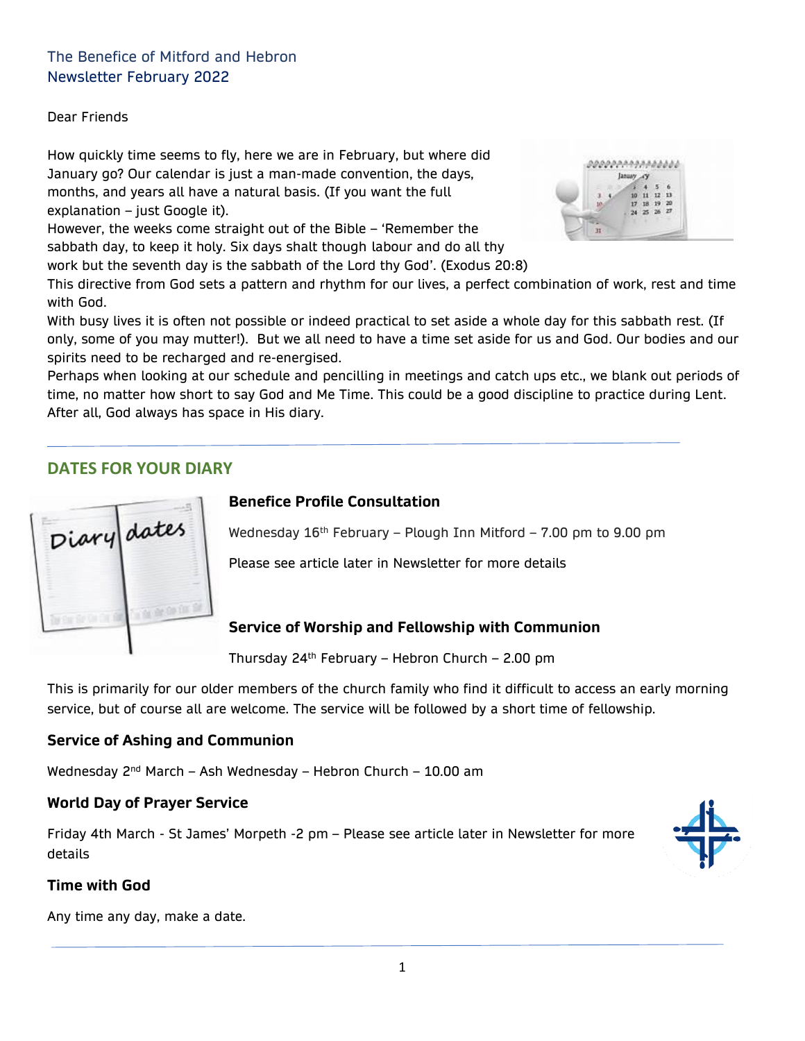## The Benefice of Mitford and Hebron Newsletter February 2022

#### Dear Friends

How quickly time seems to fly, here we are in February, but where did January go? Our calendar is just a man-made convention, the days, months, and years all have a natural basis. (If you want the full explanation – just Google it).

However, the weeks come straight out of the Bible – 'Remember the sabbath day, to keep it holy. Six days shalt though labour and do all thy work but the seventh day is the sabbath of the Lord thy God'. (Exodus 20:8)



This directive from God sets a pattern and rhythm for our lives, a perfect combination of work, rest and time with God.

With busy lives it is often not possible or indeed practical to set aside a whole day for this sabbath rest. (If only, some of you may mutter!). But we all need to have a time set aside for us and God. Our bodies and our spirits need to be recharged and re-energised.

Perhaps when looking at our schedule and pencilling in meetings and catch ups etc., we blank out periods of time, no matter how short to say God and Me Time. This could be a good discipline to practice during Lent. After all, God always has space in His diary.

## **DATES FOR YOUR DIARY**



## **Benefice Profile Consultation**

Wednesday  $16<sup>th</sup>$  February – Plough Inn Mitford – 7.00 pm to 9.00 pm

Please see article later in Newsletter for more details

## **Service of Worship and Fellowship with Communion**

Thursday  $24<sup>th</sup>$  February – Hebron Church – 2.00 pm

This is primarily for our older members of the church family who find it difficult to access an early morning service, but of course all are welcome. The service will be followed by a short time of fellowship.

## **Service of Ashing and Communion**

Wednesday 2nd March – Ash Wednesday – Hebron Church – 10.00 am

## **World Day of Prayer Service**

Friday 4th March - St James' Morpeth -2 pm – Please see article later in Newsletter for more details

## **Time with God**

Any time any day, make a date.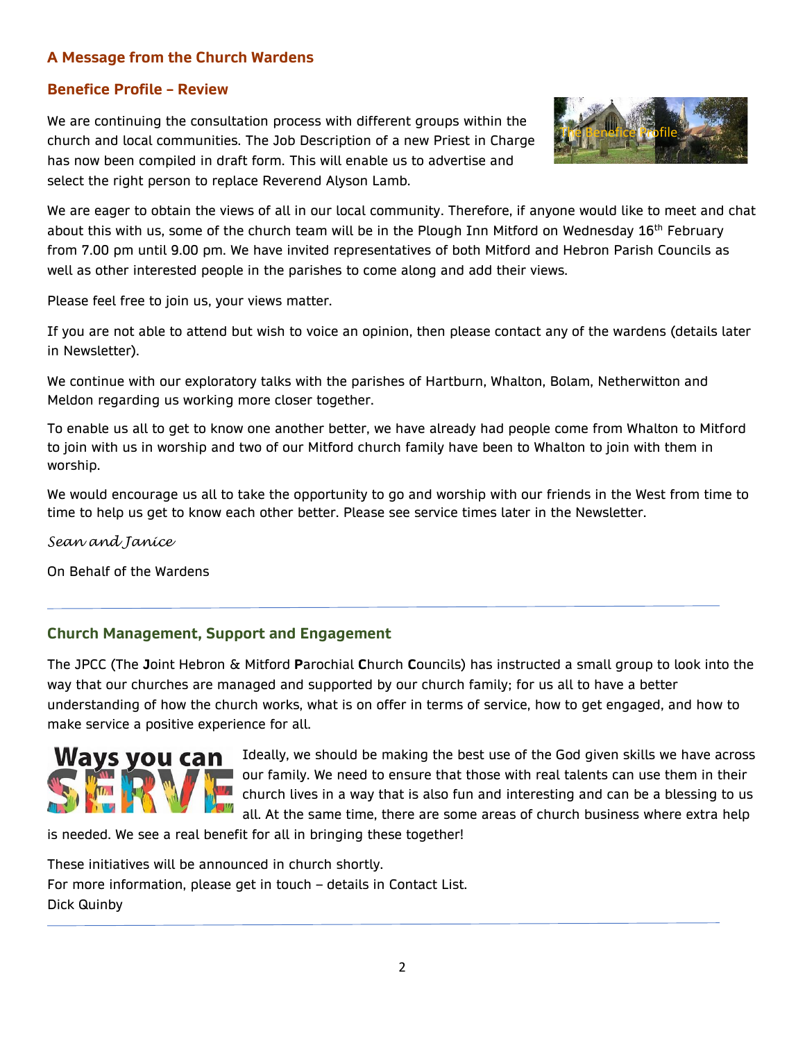### **A Message from the Church Wardens**

### **Benefice Profile – Review**

We are continuing the consultation process with different groups within the church and local communities. The Job Description of a new Priest in Charge has now been compiled in draft form. This will enable us to advertise and select the right person to replace Reverend Alyson Lamb.



We are eager to obtain the views of all in our local community. Therefore, if anyone would like to meet and chat about this with us, some of the church team will be in the Plough Inn Mitford on Wednesday 16<sup>th</sup> February from 7.00 pm until 9.00 pm. We have invited representatives of both Mitford and Hebron Parish Councils as well as other interested people in the parishes to come along and add their views.

Please feel free to join us, your views matter.

If you are not able to attend but wish to voice an opinion, then please contact any of the wardens (details later in Newsletter).

We continue with our exploratory talks with the parishes of Hartburn, Whalton, Bolam, Netherwitton and Meldon regarding us working more closer together.

To enable us all to get to know one another better, we have already had people come from Whalton to Mitford to join with us in worship and two of our Mitford church family have been to Whalton to join with them in worship.

We would encourage us all to take the opportunity to go and worship with our friends in the West from time to time to help us get to know each other better. Please see service times later in the Newsletter.

*Sean and Janice*

On Behalf of the Wardens

### **Church Management, Support and Engagement**

The JPCC (The **J**oint Hebron & Mitford **P**arochial **C**hurch **C**ouncils) has instructed a small group to look into the way that our churches are managed and supported by our church family; for us all to have a better understanding of how the church works, what is on offer in terms of service, how to get engaged, and how to make service a positive experience for all.



Ideally, we should be making the best use of the God given skills we have across our family. We need to ensure that those with real talents can use them in their church lives in a way that is also fun and interesting and can be a blessing to us all. At the same time, there are some areas of church business where extra help

is needed. We see a real benefit for all in bringing these together!

These initiatives will be announced in church shortly. For more information, please get in touch – details in Contact List. Dick Quinby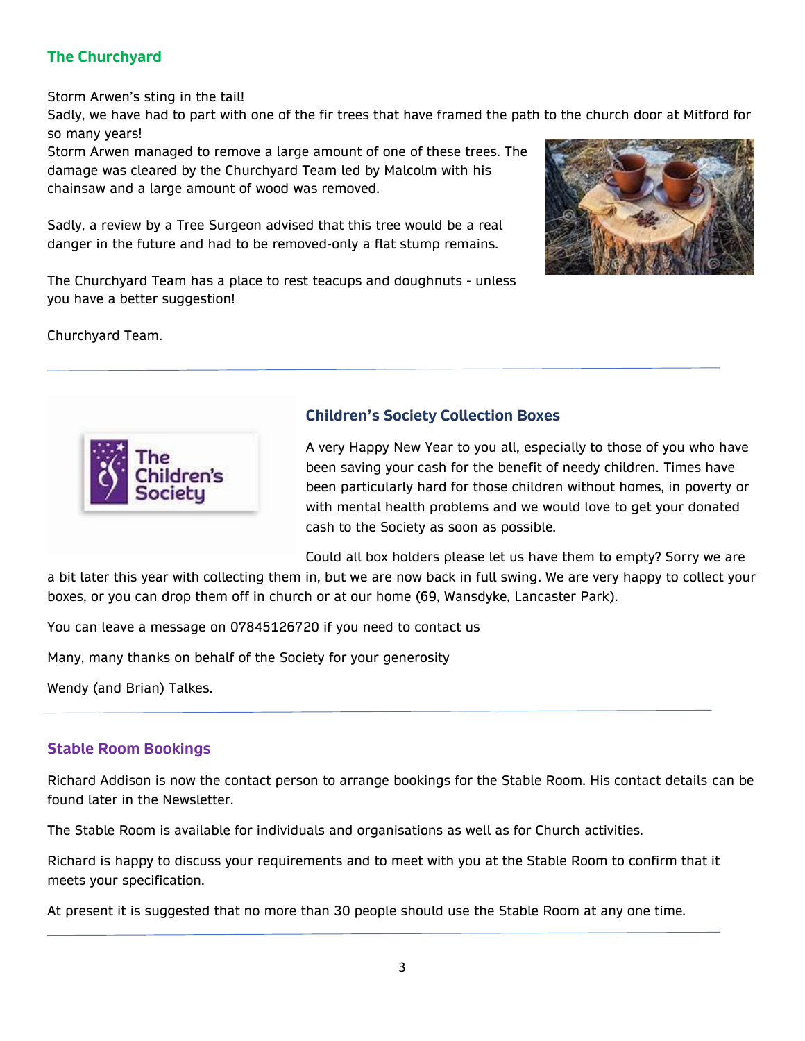## **The Churchyard**

Storm Arwen's sting in the tail!

Sadly, we have had to part with one of the fir trees that have framed the path to the church door at Mitford for so many years!

Storm Arwen managed to remove a large amount of one of these trees. The damage was cleared by the Churchyard Team led by Malcolm with his chainsaw and a large amount of wood was removed.

Sadly, a review by a Tree Surgeon advised that this tree would be a real danger in the future and had to be removed-only a flat stump remains.



The Churchyard Team has a place to rest teacups and doughnuts - unless you have a better suggestion!

Churchyard Team.



### **Children's Society Collection Boxes**

A very Happy New Year to you all, especially to those of you who have been saving your cash for the benefit of needy children. Times have been particularly hard for those children without homes, in poverty or with mental health problems and we would love to get your donated cash to the Society as soon as possible.

Could all box holders please let us have them to empty? Sorry we are

a bit later this year with collecting them in, but we are now back in full swing. We are very happy to collect your boxes, or you can drop them off in church or at our home (69, Wansdyke, Lancaster Park).

You can leave a message on 07845126720 if you need to contact us

Many, many thanks on behalf of the Society for your generosity

Wendy (and Brian) Talkes.

### **Stable Room Bookings**

Richard Addison is now the contact person to arrange bookings for the Stable Room. His contact details can be found later in the Newsletter.

The Stable Room is available for individuals and organisations as well as for Church activities.

Richard is happy to discuss your requirements and to meet with you at the Stable Room to confirm that it meets your specification.

At present it is suggested that no more than 30 people should use the Stable Room at any one time.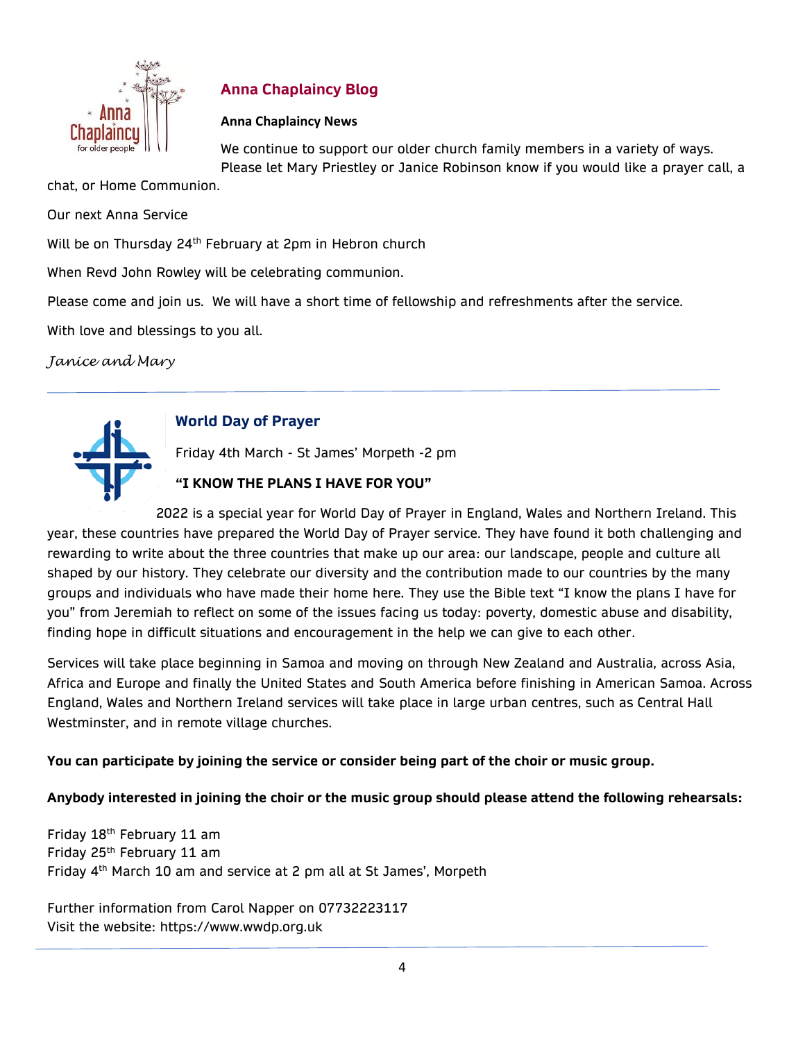

# **Anna Chaplaincy Blog**

## **Anna Chaplaincy News**

We continue to support our older church family members in a variety of ways. Please let Mary Priestley or Janice Robinson know if you would like a prayer call, a

chat, or Home Communion.

Our next Anna Service

Will be on Thursday 24<sup>th</sup> February at 2pm in Hebron church

When Revd John Rowley will be celebrating communion.

Please come and join us. We will have a short time of fellowship and refreshments after the service.

With love and blessings to you all.

*Janice and Mary*



## **World Day of Prayer**

Friday 4th March - St James' Morpeth -2 pm

## **"I KNOW THE PLANS I HAVE FOR YOU"**

2022 is a special year for World Day of Prayer in England, Wales and Northern Ireland. This year, these countries have prepared the World Day of Prayer service. They have found it both challenging and rewarding to write about the three countries that make up our area: our landscape, people and culture all shaped by our history. They celebrate our diversity and the contribution made to our countries by the many groups and individuals who have made their home here. They use the Bible text "I know the plans I have for you" from Jeremiah to reflect on some of the issues facing us today: poverty, domestic abuse and disability, finding hope in difficult situations and encouragement in the help we can give to each other.

Services will take place beginning in Samoa and moving on through New Zealand and Australia, across Asia, Africa and Europe and finally the United States and South America before finishing in American Samoa. Across England, Wales and Northern Ireland services will take place in large urban centres, such as Central Hall Westminster, and in remote village churches.

## **You can participate by joining the service or consider being part of the choir or music group.**

**Anybody interested in joining the choir or the music group should please attend the following rehearsals:**

Friday 18<sup>th</sup> February 11 am Friday 25<sup>th</sup> February 11 am Friday 4th March 10 am and service at 2 pm all at St James', Morpeth

Further information from Carol Napper on 07732223117 Visit the website: https://www.wwdp.org.uk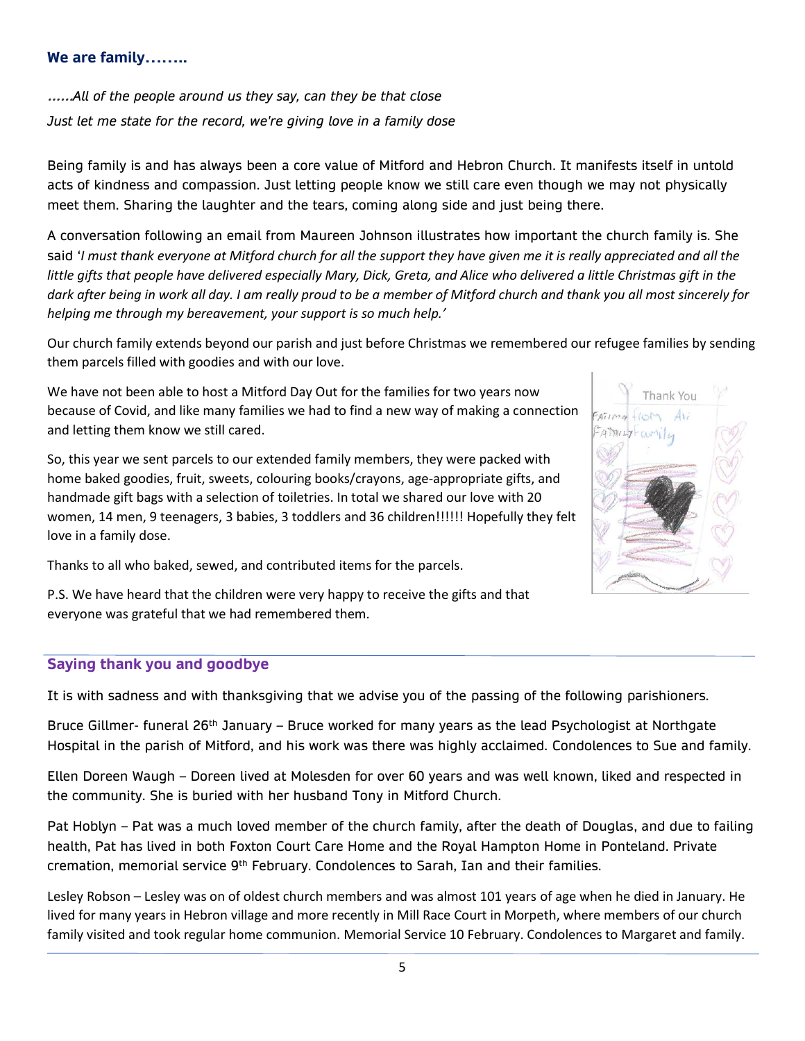## **We are family……..**

……*All of the [people](https://www.definitions.net/definition/people) around us they say, can they be that close Just let me [state](https://www.definitions.net/definition/state) for the record, we're [giving](https://www.definitions.net/definition/giving) love in a [family](https://www.definitions.net/definition/family) dose*

Being family is and has always been a core value of Mitford and Hebron Church. It manifests itself in untold acts of kindness and compassion. Just letting people know we still care even though we may not physically meet them. Sharing the laughter and the tears, coming along side and just being there.

A conversation following an email from Maureen Johnson illustrates how important the church family is. She said '*I must thank everyone at Mitford church for all the support they have given me it is really appreciated and all the little gifts that people have delivered especially Mary, Dick, Greta, and Alice who delivered a little Christmas gift in the dark after being in work all day. I am really proud to be a member of Mitford church and thank you all most sincerely for helping me through my bereavement, your support is so much help.'*

Our church family extends beyond our parish and just before Christmas we remembered our refugee families by sending them parcels filled with goodies and with our love.

We have not been able to host a Mitford Day Out for the families for two years now because of Covid, and like many families we had to find a new way of making a connection and letting them know we still cared.

So, this year we sent parcels to our extended family members, they were packed with home baked goodies, fruit, sweets, colouring books/crayons, age-appropriate gifts, and handmade gift bags with a selection of toiletries. In total we shared our love with 20 women, 14 men, 9 teenagers, 3 babies, 3 toddlers and 36 children!!!!!! Hopefully they felt love in a family dose.

Thanks to all who baked, sewed, and contributed items for the parcels.

P.S. We have heard that the children were very happy to receive the gifts and that everyone was grateful that we had remembered them.

## **Saying thank you and goodbye**

It is with sadness and with thanksgiving that we advise you of the passing of the following parishioners.

Bruce Gillmer- funeral 26<sup>th</sup> January – Bruce worked for many years as the lead Psychologist at Northgate Hospital in the parish of Mitford, and his work was there was highly acclaimed. Condolences to Sue and family.

Ellen Doreen Waugh – Doreen lived at Molesden for over 60 years and was well known, liked and respected in the community. She is buried with her husband Tony in Mitford Church.

Pat Hoblyn – Pat was a much loved member of the church family, after the death of Douglas, and due to failing health, Pat has lived in both Foxton Court Care Home and the Royal Hampton Home in Ponteland. Private cremation, memorial service 9th February. Condolences to Sarah, Ian and their families.

Lesley Robson – Lesley was on of oldest church members and was almost 101 years of age when he died in January. He lived for many years in Hebron village and more recently in Mill Race Court in Morpeth, where members of our church family visited and took regular home communion. Memorial Service 10 February. Condolences to Margaret and family.

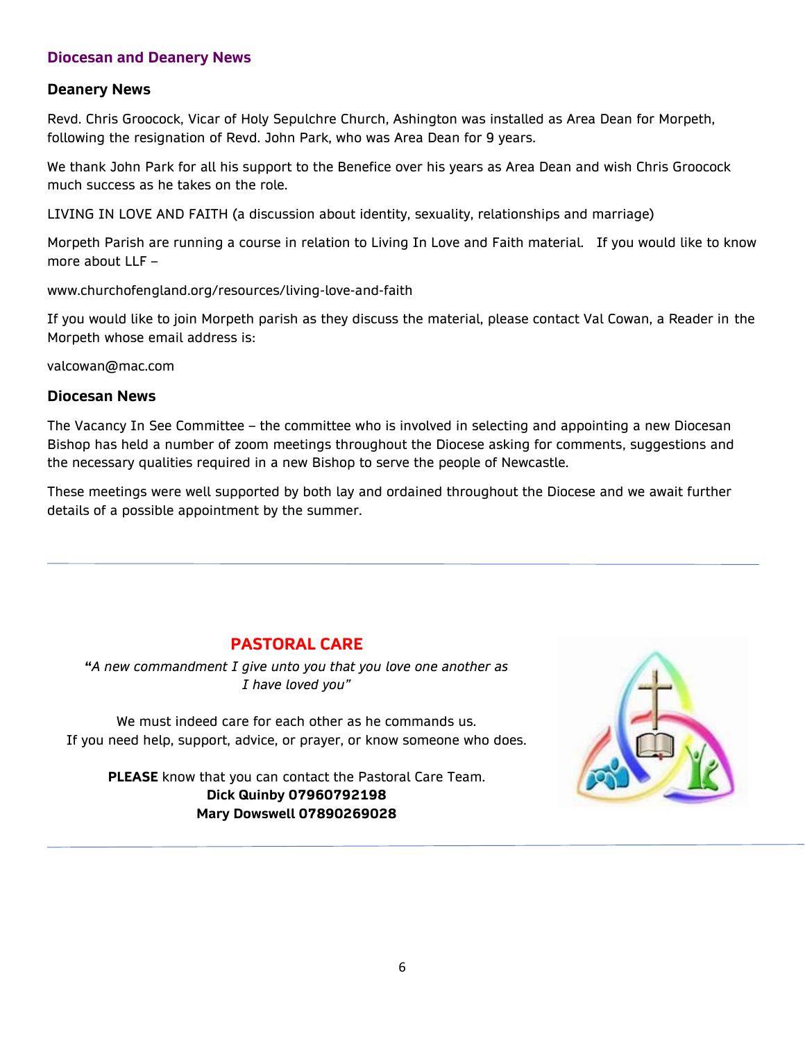### **Diocesan and Deanery News**

### **Deanery News**

Revd. Chris Groocock, Vicar of Holy Sepulchre Church, Ashington was installed as Area Dean for Morpeth, following the resignation of Revd. John Park, who was Area Dean for 9 years.

We thank John Park for all his support to the Benefice over his years as Area Dean and wish Chris Groocock much success as he takes on the role.

LIVING IN LOVE AND FAITH (a discussion about identity, sexuality, relationships and marriage)

Morpeth Parish are running a course in relation to Living In Love and Faith material. If you would like to know more about LLF –

www.churchofengland.org/resources/living-love-and-faith

If you would like to join Morpeth parish as they discuss the material, please contact Val Cowan, a Reader in the Morpeth whose email address is:

valcowan@mac.com

#### **Diocesan News**

The Vacancy In See Committee – the committee who is involved in selecting and appointing a new Diocesan Bishop has held a number of zoom meetings throughout the Diocese asking for comments, suggestions and the necessary qualities required in a new Bishop to serve the people of Newcastle.

These meetings were well supported by both lay and ordained throughout the Diocese and we await further details of a possible appointment by the summer.

## **PASTORAL CARE**

**"***A new commandment I give unto you that you love one another as I have loved you"*

We must indeed care for each other as he commands us. If you need help, support, advice, or prayer, or know someone who does.

**PLEASE** know that you can contact the Pastoral Care Team. **Dick Quinby 07960792198 Mary Dowswell 07890269028**

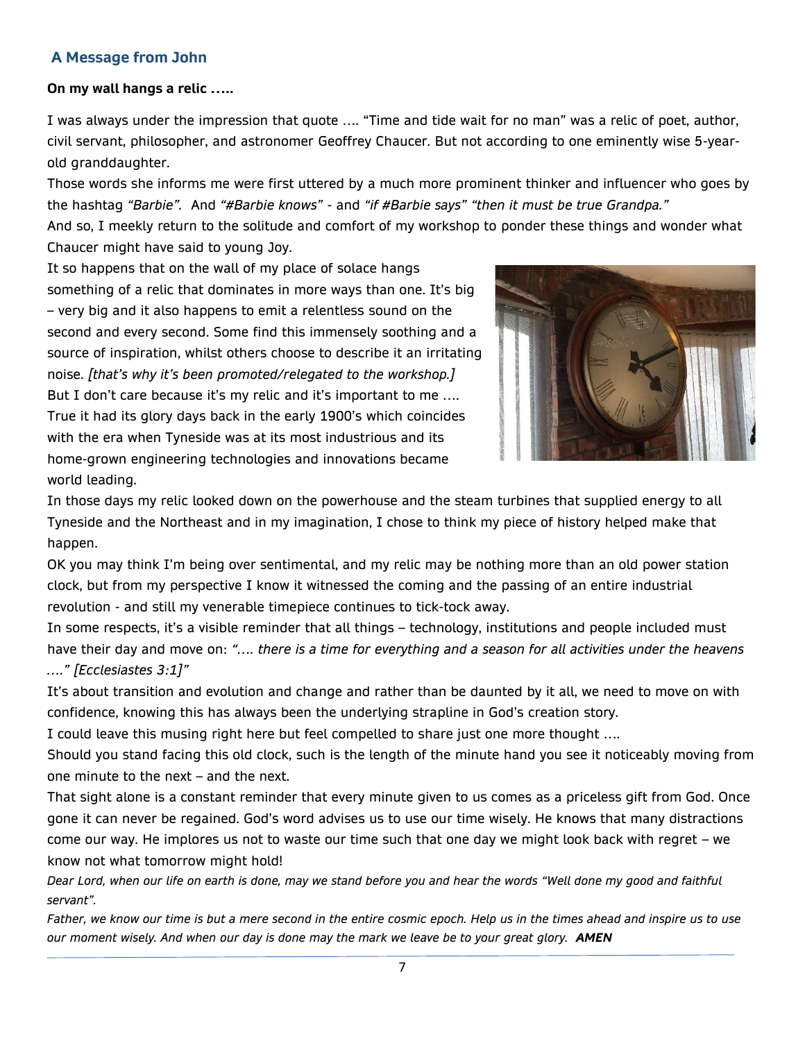### **A Message from John**

#### **On my wall hangs a relic …..**

I was always under the impression that quote …. "Time and tide wait for no man" was a relic of poet, author, civil servant, philosopher, and astronomer Geoffrey Chaucer. But not according to one eminently wise 5-yearold granddaughter.

Those words she informs me were first uttered by a much more prominent thinker and influencer who goes by the hashtag *"Barbie".* And *"#Barbie knows"* - and *"if #Barbie says" "then it must be true Grandpa."* 

And so, I meekly return to the solitude and comfort of my workshop to ponder these things and wonder what Chaucer might have said to young Joy.

It so happens that on the wall of my place of solace hangs something of a relic that dominates in more ways than one. It's big – very big and it also happens to emit a relentless sound on the second and every second. Some find this immensely soothing and a source of inspiration, whilst others choose to describe it an irritating noise. *[that's why it's been promoted/relegated to the workshop.]* But I don't care because it's my relic and it's important to me .... True it had its glory days back in the early 1900's which coincides with the era when Tyneside was at its most industrious and its home-grown engineering technologies and innovations became world leading.



In those days my relic looked down on the powerhouse and the steam turbines that supplied energy to all Tyneside and the Northeast and in my imagination, I chose to think my piece of history helped make that happen.

OK you may think I'm being over sentimental, and my relic may be nothing more than an old power station clock, but from my perspective I know it witnessed the coming and the passing of an entire industrial revolution - and still my venerable timepiece continues to tick-tock away.

In some respects, it's a visible reminder that all things – technology, institutions and people included must have their day and move on: *"…. there is a time for everything and a season for all activities under the heavens …." [Ecclesiastes 3:1]"*

It's about transition and evolution and change and rather than be daunted by it all, we need to move on with confidence, knowing this has always been the underlying strapline in God's creation story.

I could leave this musing right here but feel compelled to share just one more thought ….

Should you stand facing this old clock, such is the length of the minute hand you see it noticeably moving from one minute to the next – and the next.

That sight alone is a constant reminder that every minute given to us comes as a priceless gift from God. Once gone it can never be regained. God's word advises us to use our time wisely. He knows that many distractions come our way. He implores us not to waste our time such that one day we might look back with regret – we know not what tomorrow might hold!

*Dear Lord, when our life on earth is done, may we stand before you and hear the words "Well done my good and faithful servant".*

*Father, we know our time is but a mere second in the entire cosmic epoch. Help us in the times ahead and inspire us to use our moment wisely. And when our day is done may the mark we leave be to your great glory. AMEN*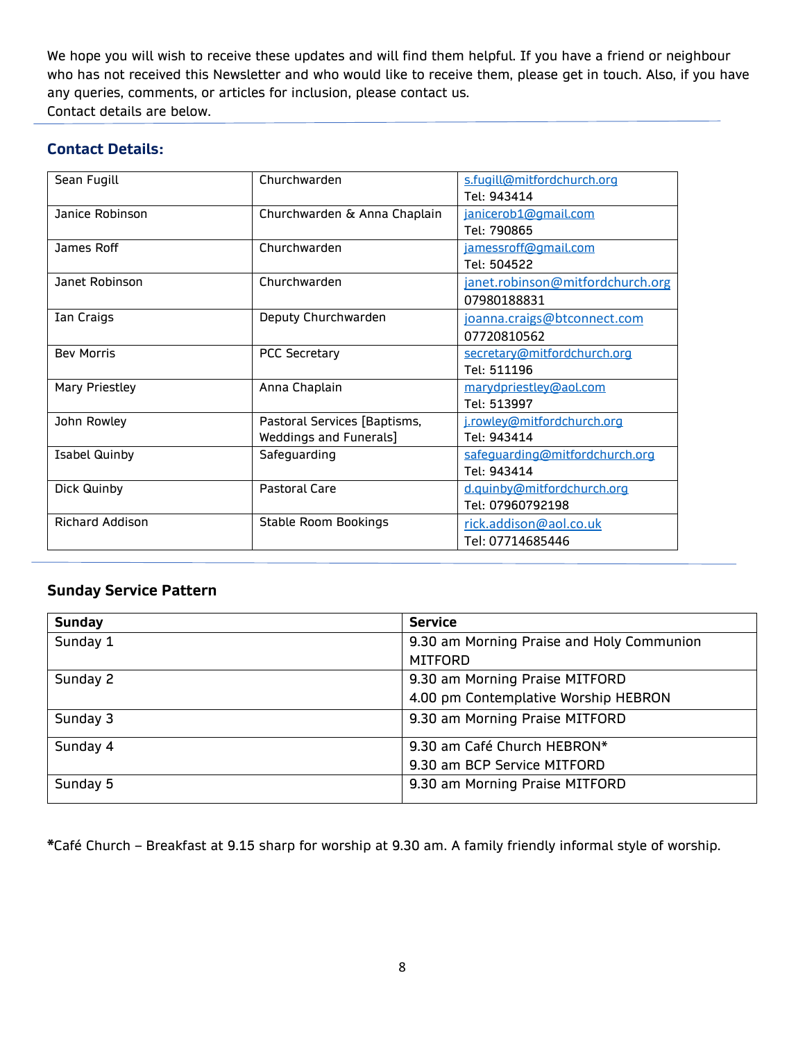We hope you will wish to receive these updates and will find them helpful. If you have a friend or neighbour who has not received this Newsletter and who would like to receive them, please get in touch. Also, if you have any queries, comments, or articles for inclusion, please contact us. Contact details are below.

## **Contact Details:**

| Sean Fugill            | Churchwarden                 | s.fugill@mitfordchurch.org       |  |
|------------------------|------------------------------|----------------------------------|--|
|                        |                              | Tel: 943414                      |  |
| Janice Robinson        | Churchwarden & Anna Chaplain | janicerob1@gmail.com             |  |
|                        |                              | Tel: 790865                      |  |
| James Roff             | Churchwarden                 | jamessroff@gmail.com             |  |
|                        |                              | Tel: 504522                      |  |
| Janet Robinson         | Churchwarden                 | janet.robinson@mitfordchurch.org |  |
|                        |                              | 07980188831                      |  |
| <b>Ian Craigs</b>      | Deputy Churchwarden          | joanna.craigs@btconnect.com      |  |
|                        |                              | 07720810562                      |  |
| <b>Bev Morris</b>      | <b>PCC Secretary</b>         | secretary@mitfordchurch.org      |  |
|                        |                              | Tel: 511196                      |  |
| Mary Priestley         | Anna Chaplain                | marydpriestley@aol.com           |  |
|                        |                              | Tel: 513997                      |  |
| John Rowley            | Pastoral Services [Baptisms, | j.rowley@mitfordchurch.org       |  |
|                        | Weddings and Funerals]       | Tel: 943414                      |  |
| <b>Isabel Quinby</b>   | Safeguarding                 | safeguarding@mitfordchurch.org   |  |
|                        |                              | Tel: 943414                      |  |
| Dick Quinby            | <b>Pastoral Care</b>         | d.quinby@mitfordchurch.org       |  |
|                        |                              | Tel: 07960792198                 |  |
| <b>Richard Addison</b> | <b>Stable Room Bookings</b>  | rick.addison@aol.co.uk           |  |
|                        |                              | Tel: 07714685446                 |  |

## **Sunday Service Pattern**

| <b>Sunday</b> | <b>Service</b>                            |
|---------------|-------------------------------------------|
| Sunday 1      | 9.30 am Morning Praise and Holy Communion |
|               | <b>MITFORD</b>                            |
| Sunday 2      | 9.30 am Morning Praise MITFORD            |
|               | 4.00 pm Contemplative Worship HEBRON      |
| Sunday 3      | 9.30 am Morning Praise MITFORD            |
| Sunday 4      | 9.30 am Café Church HEBRON*               |
|               | 9.30 am BCP Service MITFORD               |
| Sunday 5      | 9.30 am Morning Praise MITFORD            |

**\***Café Church – Breakfast at 9.15 sharp for worship at 9.30 am. A family friendly informal style of worship.